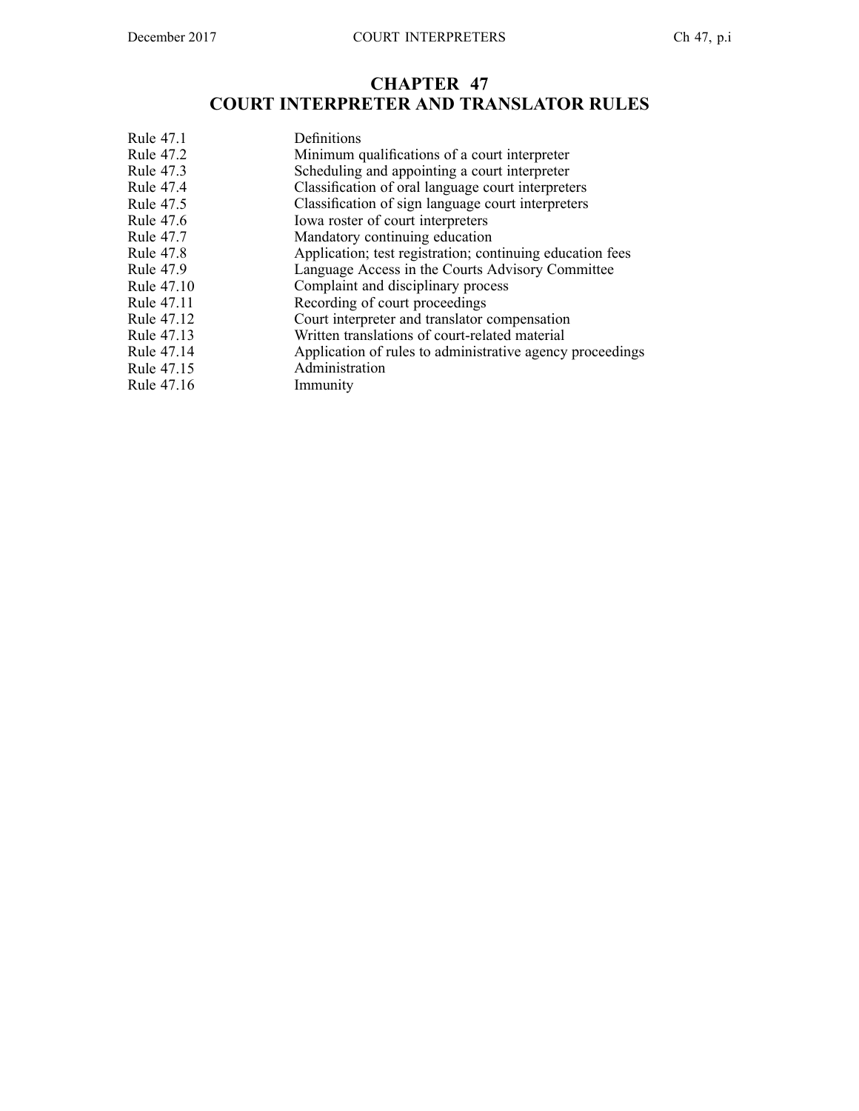# **CHAPTER 47 COURT INTERPRETER AND TRANSLATOR RULES**

| Rule 47.1         | Definitions                                               |
|-------------------|-----------------------------------------------------------|
| <b>Rule 47.2</b>  | Minimum qualifications of a court interpreter             |
| Rule 47.3         | Scheduling and appointing a court interpreter             |
| <b>Rule 47.4</b>  | Classification of oral language court interpreters        |
| Rule 47.5         | Classification of sign language court interpreters        |
| <b>Rule 47.6</b>  | Iowa roster of court interpreters                         |
| <b>Rule 47.7</b>  | Mandatory continuing education                            |
| <b>Rule 47.8</b>  | Application; test registration; continuing education fees |
| <b>Rule 47.9</b>  | Language Access in the Courts Advisory Committee          |
| <b>Rule 47.10</b> | Complaint and disciplinary process                        |
| Rule 47.11        | Recording of court proceedings                            |
| Rule 47.12        | Court interpreter and translator compensation             |
| Rule 47.13        | Written translations of court-related material            |
| Rule 47.14        | Application of rules to administrative agency proceedings |
| Rule 47.15        | Administration                                            |
| Rule 47.16        | Immunity                                                  |
|                   |                                                           |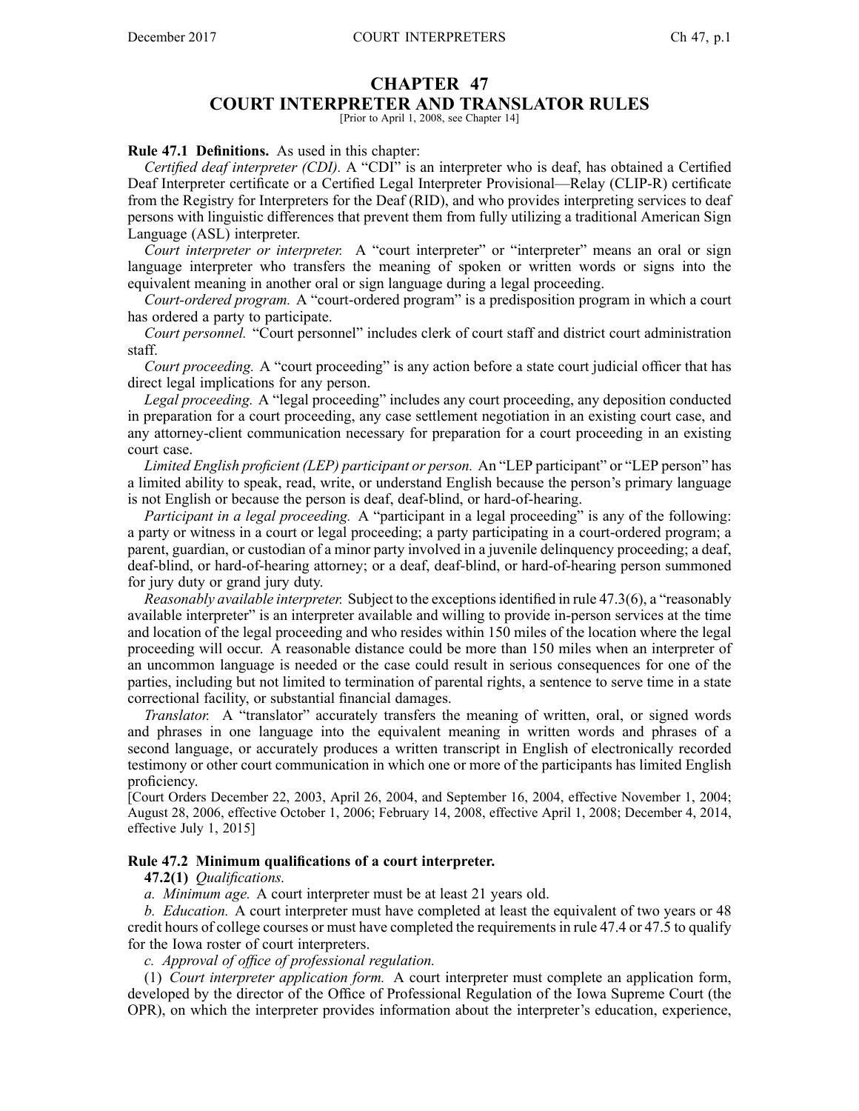# **CHAPTER 47**

# **COURT INTERPRETER AND TRANSLATOR RULES**

[Prior to April 1, 2008, see Chapter 14]

# **Rule 47.1 Definitions.** As used in this chapter:

*Certified deaf interpreter (CDI).* A "CDI" is an interpreter who is deaf, has obtained <sup>a</sup> Certified Deaf Interpreter certificate or <sup>a</sup> Certified Legal Interpreter Provisional—Relay (CLIP-R) certificate from the Registry for Interpreters for the Deaf (RID), and who provides interpreting services to deaf persons with linguistic differences that preven<sup>t</sup> them from fully utilizing <sup>a</sup> traditional American Sign Language (ASL) interpreter.

*Court interpreter or interpreter.* A "court interpreter" or "interpreter" means an oral or sign language interpreter who transfers the meaning of spoken or written words or signs into the equivalent meaning in another oral or sign language during <sup>a</sup> legal proceeding.

*Court-ordered program.* A "court-ordered program" is <sup>a</sup> predisposition program in which <sup>a</sup> court has ordered <sup>a</sup> party to participate.

*Court personnel.* "Court personnel" includes clerk of court staff and district court administration staff.

*Court proceeding.* A "court proceeding" is any action before <sup>a</sup> state court judicial officer that has direct legal implications for any person.

*Legal proceeding.* A "legal proceeding" includes any court proceeding, any deposition conducted in preparation for <sup>a</sup> court proceeding, any case settlement negotiation in an existing court case, and any attorney-client communication necessary for preparation for <sup>a</sup> court proceeding in an existing court case.

*Limited English proficient (LEP) participant or person.* An "LEP participant" or "LEP person" has <sup>a</sup> limited ability to speak, read, write, or understand English because the person's primary language is not English or because the person is deaf, deaf-blind, or hard-of-hearing.

*Participant in <sup>a</sup> legal proceeding.* A "participant in <sup>a</sup> legal proceeding" is any of the following: <sup>a</sup> party or witness in <sup>a</sup> court or legal proceeding; <sup>a</sup> party participating in <sup>a</sup> court-ordered program; <sup>a</sup> parent, guardian, or custodian of <sup>a</sup> minor party involved in <sup>a</sup> juvenile delinquency proceeding; <sup>a</sup> deaf, deaf-blind, or hard-of-hearing attorney; or <sup>a</sup> deaf, deaf-blind, or hard-of-hearing person summoned for jury duty or grand jury duty.

*Reasonably available interpreter.* Subject to the exceptionsidentified in rule 47.3(6), <sup>a</sup> "reasonably available interpreter" is an interpreter available and willing to provide in-person services at the time and location of the legal proceeding and who resides within 150 miles of the location where the legal proceeding will occur. A reasonable distance could be more than 150 miles when an interpreter of an uncommon language is needed or the case could result in serious consequences for one of the parties, including but not limited to termination of parental rights, <sup>a</sup> sentence to serve time in <sup>a</sup> state correctional facility, or substantial financial damages.

*Translator.* A "translator" accurately transfers the meaning of written, oral, or signed words and phrases in one language into the equivalent meaning in written words and phrases of <sup>a</sup> second language, or accurately produces <sup>a</sup> written transcript in English of electronically recorded testimony or other court communication in which one or more of the participants has limited English proficiency.

[Court Orders December 22, 2003, April 26, 2004, and September 16, 2004, effective November 1, 2004; August 28, 2006, effective October 1, 2006; February 14, 2008, effective April 1, 2008; December 4, 2014, effective July 1, 2015]

## **Rule 47.2 Minimum qualifications of <sup>a</sup> court interpreter.**

## **47.2(1)** *Qualifications.*

*a. Minimum age.* A court interpreter must be at least 21 years old.

*b. Education.* A court interpreter must have completed at least the equivalent of two years or 48 credit hours of college courses or must have completed the requirementsin rule 47.4 or 47.5 to qualify for the Iowa roster of court interpreters.

*c. Approval of office of professional regulation.*

(1) *Court interpreter application form.* A court interpreter must complete an application form, developed by the director of the Office of Professional Regulation of the Iowa Supreme Court (the OPR), on which the interpreter provides information about the interpreter's education, experience,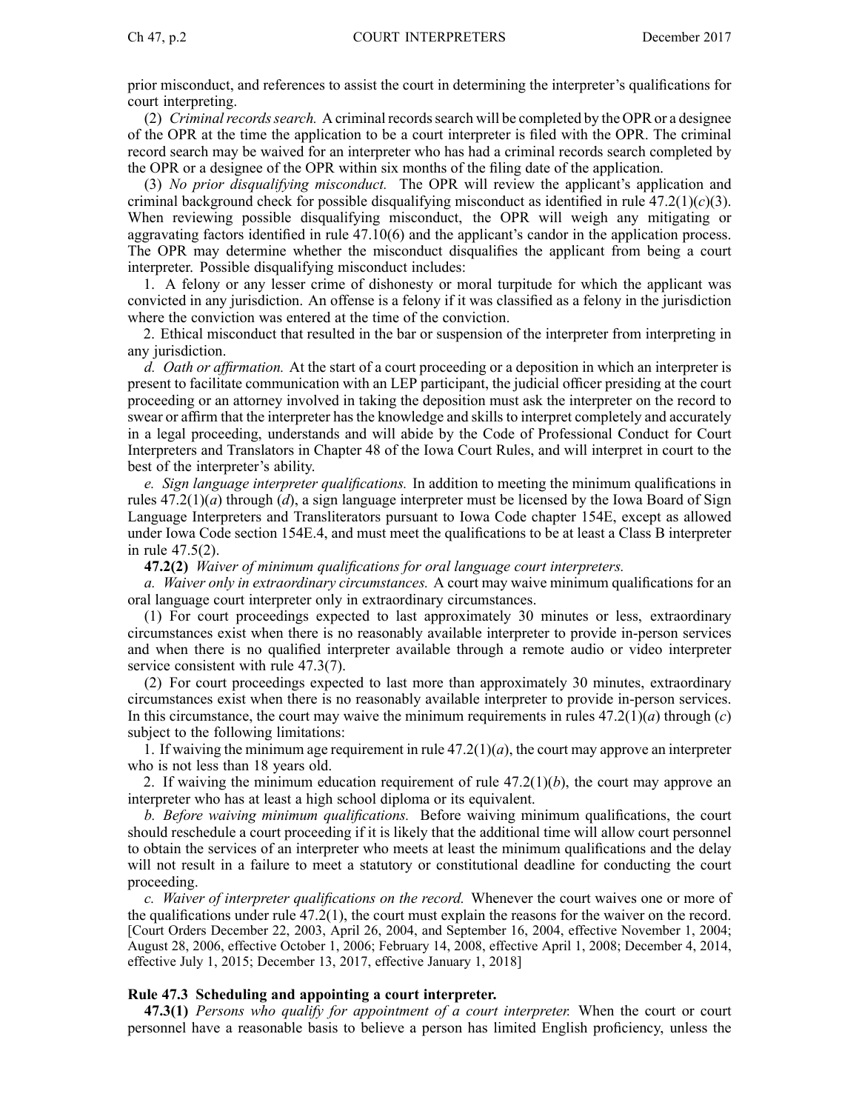prior misconduct, and references to assist the court in determining the interpreter's qualifications for court interpreting.

(2) *Criminalrecordssearch.* A criminal recordssearch will be completed by the OPRor <sup>a</sup> designee of the OPR at the time the application to be <sup>a</sup> court interpreter is filed with the OPR. The criminal record search may be waived for an interpreter who has had <sup>a</sup> criminal records search completed by the OPR or <sup>a</sup> designee of the OPR within six months of the filing date of the application.

(3) *No prior disqualifying misconduct.* The OPR will review the applicant's application and criminal background check for possible disqualifying misconduct as identified in rule  $47.2(1)(c)(3)$ . When reviewing possible disqualifying misconduct, the OPR will weigh any mitigating or aggravating factors identified in rule 47.10(6) and the applicant's candor in the application process. The OPR may determine whether the misconduct disqualifies the applicant from being <sup>a</sup> court interpreter. Possible disqualifying misconduct includes:

1. A felony or any lesser crime of dishonesty or moral turpitude for which the applicant was convicted in any jurisdiction. An offense is <sup>a</sup> felony if it was classified as <sup>a</sup> felony in the jurisdiction where the conviction was entered at the time of the conviction.

2. Ethical misconduct that resulted in the bar or suspension of the interpreter from interpreting in any jurisdiction.

*d. Oath or affirmation.* At the start of <sup>a</sup> court proceeding or <sup>a</sup> deposition in which an interpreter is presen<sup>t</sup> to facilitate communication with an LEP participant, the judicial officer presiding at the court proceeding or an attorney involved in taking the deposition must ask the interpreter on the record to swear or affirm that the interpreter has the knowledge and skills to interpret completely and accurately in <sup>a</sup> legal proceeding, understands and will abide by the Code of Professional Conduct for Court Interpreters and Translators in Chapter 48 of the Iowa Court Rules, and will interpret in court to the best of the interpreter's ability.

*e. Sign language interpreter qualifications.* In addition to meeting the minimum qualifications in rules 47.2(1)(*a*) through (*d*), <sup>a</sup> sign language interpreter must be licensed by the Iowa Board of Sign Language Interpreters and Transliterators pursuan<sup>t</sup> to Iowa Code chapter 154E, excep<sup>t</sup> as allowed under Iowa Code section 154E.4, and must meet the qualifications to be at least <sup>a</sup> Class B interpreter in rule 47.5(2).

**47.2(2)** *Waiver of minimum qualifications for oral language court interpreters.*

*a. Waiver only in extraordinary circumstances.* A court may waive minimum qualifications for an oral language court interpreter only in extraordinary circumstances.

(1) For court proceedings expected to last approximately 30 minutes or less, extraordinary circumstances exist when there is no reasonably available interpreter to provide in-person services and when there is no qualified interpreter available through <sup>a</sup> remote audio or video interpreter service consistent with rule 47.3(7).

(2) For court proceedings expected to last more than approximately 30 minutes, extraordinary circumstances exist when there is no reasonably available interpreter to provide in-person services. In this circumstance, the court may waive the minimum requirements in rules  $47.2(1)(a)$  through  $(c)$ subject to the following limitations:

1. If waiving the minimum age requirement in rule  $47.2(1)(a)$ , the court may approve an interpreter who is not less than 18 years old.

2. If waiving the minimum education requirement of rule  $47.2(1)(b)$ , the court may approve an interpreter who has at least <sup>a</sup> high school diploma or its equivalent.

*b. Before waiving minimum qualifications.* Before waiving minimum qualifications, the court should reschedule <sup>a</sup> court proceeding if it is likely that the additional time will allow court personnel to obtain the services of an interpreter who meets at least the minimum qualifications and the delay will not result in <sup>a</sup> failure to meet <sup>a</sup> statutory or constitutional deadline for conducting the court proceeding.

*c. Waiver of interpreter qualifications on the record.* Whenever the court waives one or more of the qualifications under rule 47.2(1), the court must explain the reasons for the waiver on the record. [Court Orders December 22, 2003, April 26, 2004, and September 16, 2004, effective November 1, 2004; August 28, 2006, effective October 1, 2006; February 14, 2008, effective April 1, 2008; December 4, 2014, effective July 1, 2015; December 13, 2017, effective January 1, 2018]

# **Rule 47.3 Scheduling and appointing <sup>a</sup> court interpreter.**

**47.3(1)** *Persons who qualify for appointment of <sup>a</sup> court interpreter.* When the court or court personnel have <sup>a</sup> reasonable basis to believe <sup>a</sup> person has limited English proficiency, unless the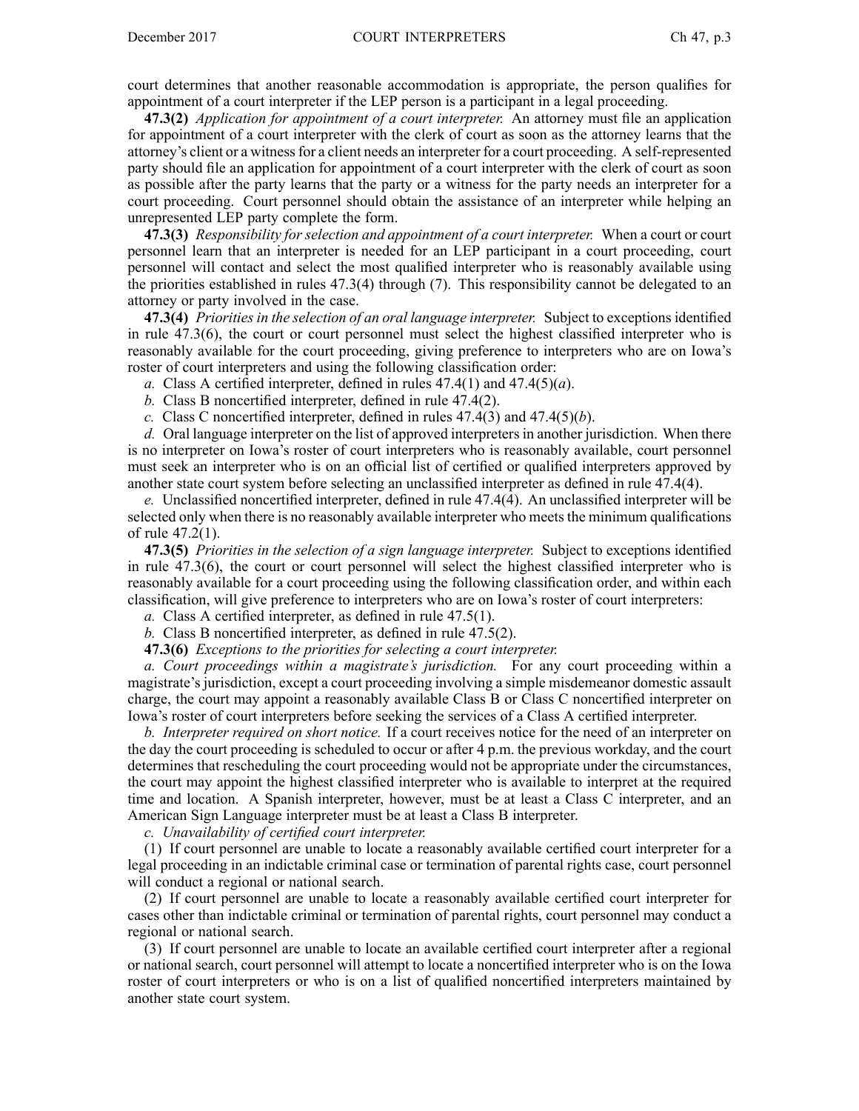court determines that another reasonable accommodation is appropriate, the person qualifies for appointment of <sup>a</sup> court interpreter if the LEP person is <sup>a</sup> participant in <sup>a</sup> legal proceeding.

**47.3(2)** *Application for appointment of <sup>a</sup> court interpreter.* An attorney must file an application for appointment of <sup>a</sup> court interpreter with the clerk of court as soon as the attorney learns that the attorney's client or <sup>a</sup> witnessfor <sup>a</sup> client needs an interpreter for <sup>a</sup> court proceeding. Aself-represented party should file an application for appointment of <sup>a</sup> court interpreter with the clerk of court as soon as possible after the party learns that the party or <sup>a</sup> witness for the party needs an interpreter for <sup>a</sup> court proceeding. Court personnel should obtain the assistance of an interpreter while helping an unrepresented LEP party complete the form.

**47.3(3)** *Responsibility for selection and appointment of <sup>a</sup> court interpreter.* When <sup>a</sup> court or court personnel learn that an interpreter is needed for an LEP participant in <sup>a</sup> court proceeding, court personnel will contact and select the most qualified interpreter who is reasonably available using the priorities established in rules 47.3(4) through (7). This responsibility cannot be delegated to an attorney or party involved in the case.

**47.3(4)** *Priorities in the selection of an oral language interpreter.* Subject to exceptions identified in rule 47.3(6), the court or court personnel must select the highest classified interpreter who is reasonably available for the court proceeding, giving preference to interpreters who are on Iowa's roster of court interpreters and using the following classification order:

*a.* Class A certified interpreter, defined in rules  $47.4(1)$  and  $47.4(5)(a)$ .

- *b.* Class B noncertified interpreter, defined in rule 47.4(2).
- *c.* Class C noncertified interpreter, defined in rules 47.4(3) and 47.4(5)(*b*).

d. Oral language interpreter on the list of approved interpreters in another jurisdiction. When there is no interpreter on Iowa's roster of court interpreters who is reasonably available, court personnel must seek an interpreter who is on an official list of certified or qualified interpreters approved by another state court system before selecting an unclassified interpreter as defined in rule 47.4(4).

*e.* Unclassified noncertified interpreter, defined in rule 47.4(4). An unclassified interpreter will be selected only when there is no reasonably available interpreter who meets the minimum qualifications of rule 47.2(1).

**47.3(5)** *Priorities in the selection of <sup>a</sup> sign language interpreter.* Subject to exceptions identified in rule 47.3(6), the court or court personnel will select the highest classified interpreter who is reasonably available for <sup>a</sup> court proceeding using the following classification order, and within each classification, will give preference to interpreters who are on Iowa's roster of court interpreters:

*a.* Class A certified interpreter, as defined in rule 47.5(1).

*b.* Class B noncertified interpreter, as defined in rule 47.5(2).

**47.3(6)** *Exceptions to the priorities for selecting <sup>a</sup> court interpreter.*

*a. Court proceedings within <sup>a</sup> magistrate's jurisdiction.* For any court proceeding within <sup>a</sup> magistrate's jurisdiction, excep<sup>t</sup> <sup>a</sup> court proceeding involving <sup>a</sup> simple misdemeanor domestic assault charge, the court may appoint <sup>a</sup> reasonably available Class B or Class C noncertified interpreter on Iowa's roster of court interpreters before seeking the services of <sup>a</sup> Class A certified interpreter.

*b. Interpreter required on short notice.* If <sup>a</sup> court receives notice for the need of an interpreter on the day the court proceeding is scheduled to occur or after 4 p.m. the previous workday, and the court determines that rescheduling the court proceeding would not be appropriate under the circumstances, the court may appoint the highest classified interpreter who is available to interpret at the required time and location. A Spanish interpreter, however, must be at least <sup>a</sup> Class C interpreter, and an American Sign Language interpreter must be at least <sup>a</sup> Class B interpreter.

*c. Unavailability of certified court interpreter.*

(1) If court personnel are unable to locate <sup>a</sup> reasonably available certified court interpreter for <sup>a</sup> legal proceeding in an indictable criminal case or termination of parental rights case, court personnel will conduct <sup>a</sup> regional or national search.

(2) If court personnel are unable to locate <sup>a</sup> reasonably available certified court interpreter for cases other than indictable criminal or termination of parental rights, court personnel may conduct <sup>a</sup> regional or national search.

(3) If court personnel are unable to locate an available certified court interpreter after <sup>a</sup> regional or national search, court personnel will attempt to locate <sup>a</sup> noncertified interpreter who is on the Iowa roster of court interpreters or who is on <sup>a</sup> list of qualified noncertified interpreters maintained by another state court system.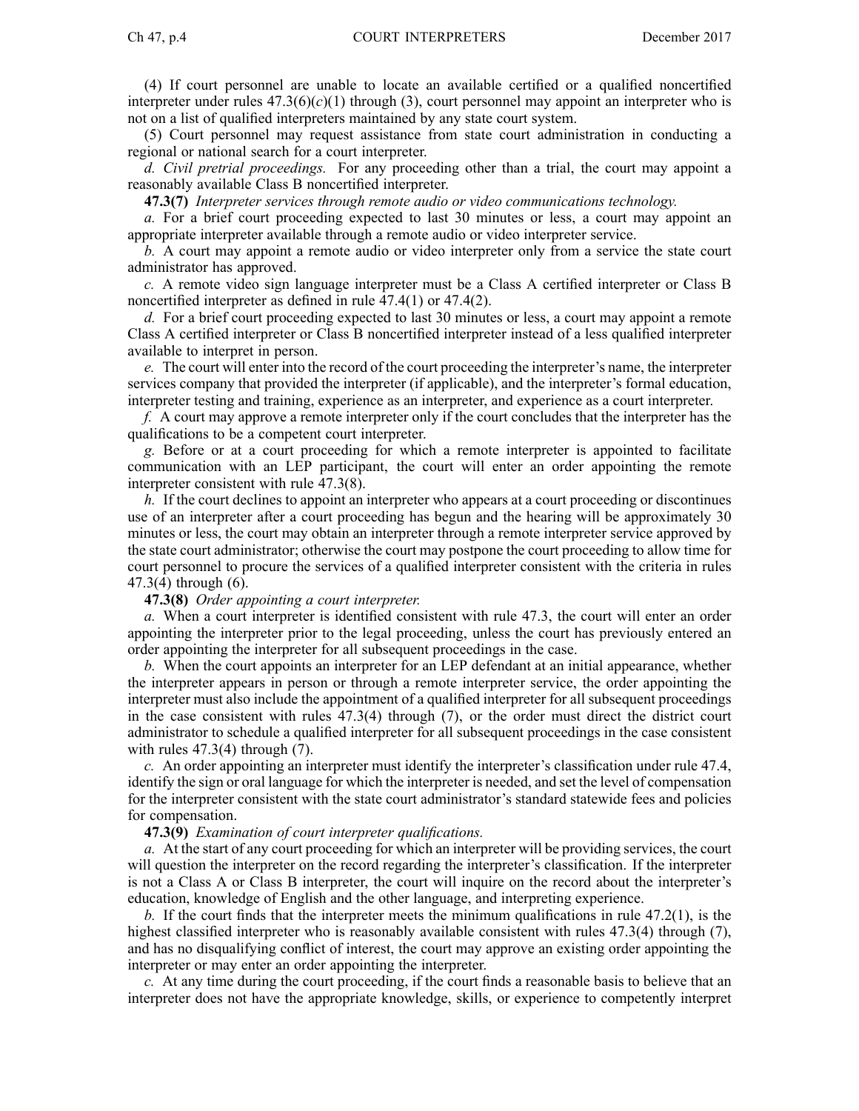(4) If court personnel are unable to locate an available certified or <sup>a</sup> qualified noncertified interpreter under rules  $47.3(6)(c)(1)$  through (3), court personnel may appoint an interpreter who is not on <sup>a</sup> list of qualified interpreters maintained by any state court system.

(5) Court personnel may reques<sup>t</sup> assistance from state court administration in conducting <sup>a</sup> regional or national search for <sup>a</sup> court interpreter.

*d. Civil pretrial proceedings.* For any proceeding other than <sup>a</sup> trial, the court may appoint <sup>a</sup> reasonably available Class B noncertified interpreter.

**47.3(7)** *Interpreter services through remote audio or video communications technology.*

*a.* For <sup>a</sup> brief court proceeding expected to last 30 minutes or less, <sup>a</sup> court may appoint an appropriate interpreter available through <sup>a</sup> remote audio or video interpreter service.

*b.* A court may appoint <sup>a</sup> remote audio or video interpreter only from <sup>a</sup> service the state court administrator has approved.

*c.* A remote video sign language interpreter must be <sup>a</sup> Class A certified interpreter or Class B noncertified interpreter as defined in rule 47.4(1) or 47.4(2).

*d.* For <sup>a</sup> brief court proceeding expected to last 30 minutes or less, <sup>a</sup> court may appoint <sup>a</sup> remote Class A certified interpreter or Class B noncertified interpreter instead of <sup>a</sup> less qualified interpreter available to interpret in person.

*e.* The court will enter into the record of the court proceeding the interpreter's name, the interpreter services company that provided the interpreter (if applicable), and the interpreter's formal education, interpreter testing and training, experience as an interpreter, and experience as <sup>a</sup> court interpreter.

*f.* A court may approve <sup>a</sup> remote interpreter only if the court concludes that the interpreter has the qualifications to be <sup>a</sup> competent court interpreter.

*g.* Before or at <sup>a</sup> court proceeding for which <sup>a</sup> remote interpreter is appointed to facilitate communication with an LEP participant, the court will enter an order appointing the remote interpreter consistent with rule 47.3(8).

*h.* If the court declines to appoint an interpreter who appears at <sup>a</sup> court proceeding or discontinues use of an interpreter after <sup>a</sup> court proceeding has begun and the hearing will be approximately 30 minutes or less, the court may obtain an interpreter through <sup>a</sup> remote interpreter service approved by the state court administrator; otherwise the court may postpone the court proceeding to allow time for court personnel to procure the services of <sup>a</sup> qualified interpreter consistent with the criteria in rules 47.3(4) through (6).

**47.3(8)** *Order appointing <sup>a</sup> court interpreter.*

*a.* When <sup>a</sup> court interpreter is identified consistent with rule 47.3, the court will enter an order appointing the interpreter prior to the legal proceeding, unless the court has previously entered an order appointing the interpreter for all subsequent proceedings in the case.

*b.* When the court appoints an interpreter for an LEP defendant at an initial appearance, whether the interpreter appears in person or through <sup>a</sup> remote interpreter service, the order appointing the interpreter must also include the appointment of <sup>a</sup> qualified interpreter for all subsequent proceedings in the case consistent with rules 47.3(4) through (7), or the order must direct the district court administrator to schedule <sup>a</sup> qualified interpreter for all subsequent proceedings in the case consistent with rules  $47.3(4)$  through  $(7)$ .

*c.* An order appointing an interpreter must identify the interpreter's classification under rule 47.4, identify the sign or oral language for which the interpreter is needed, and set the level of compensation for the interpreter consistent with the state court administrator's standard statewide fees and policies for compensation.

**47.3(9)** *Examination of court interpreter qualifications.*

*a.* At the start of any court proceeding for which an interpreter will be providing services, the court will question the interpreter on the record regarding the interpreter's classification. If the interpreter is not <sup>a</sup> Class A or Class B interpreter, the court will inquire on the record about the interpreter's education, knowledge of English and the other language, and interpreting experience.

*b.* If the court finds that the interpreter meets the minimum qualifications in rule 47.2(1), is the highest classified interpreter who is reasonably available consistent with rules 47.3(4) through (7), and has no disqualifying conflict of interest, the court may approve an existing order appointing the interpreter or may enter an order appointing the interpreter.

*c.* At any time during the court proceeding, if the court finds <sup>a</sup> reasonable basis to believe that an interpreter does not have the appropriate knowledge, skills, or experience to competently interpret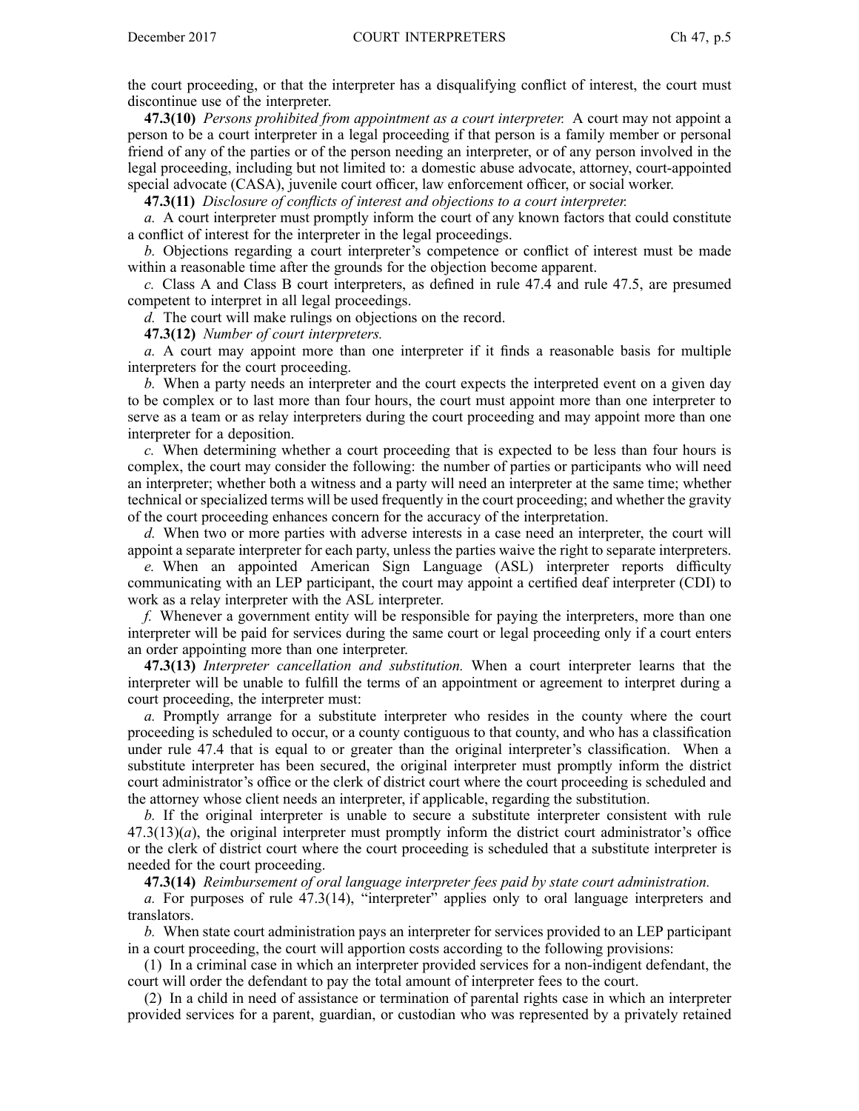the court proceeding, or that the interpreter has <sup>a</sup> disqualifying conflict of interest, the court must discontinue use of the interpreter.

**47.3(10)** *Persons prohibited from appointment as <sup>a</sup> court interpreter.* A court may not appoint <sup>a</sup> person to be <sup>a</sup> court interpreter in <sup>a</sup> legal proceeding if that person is <sup>a</sup> family member or personal friend of any of the parties or of the person needing an interpreter, or of any person involved in the legal proceeding, including but not limited to: <sup>a</sup> domestic abuse advocate, attorney, court-appointed special advocate (CASA), juvenile court officer, law enforcement officer, or social worker.

**47.3(11)** *Disclosure of conflicts of interest and objections to <sup>a</sup> court interpreter.*

*a.* A court interpreter must promptly inform the court of any known factors that could constitute <sup>a</sup> conflict of interest for the interpreter in the legal proceedings.

*b.* Objections regarding <sup>a</sup> court interpreter's competence or conflict of interest must be made within <sup>a</sup> reasonable time after the grounds for the objection become apparent.

*c.* Class A and Class B court interpreters, as defined in rule 47.4 and rule 47.5, are presumed competent to interpret in all legal proceedings.

*d.* The court will make rulings on objections on the record.

**47.3(12)** *Number of court interpreters.*

*a.* A court may appoint more than one interpreter if it finds <sup>a</sup> reasonable basis for multiple interpreters for the court proceeding.

*b.* When <sup>a</sup> party needs an interpreter and the court expects the interpreted event on <sup>a</sup> given day to be complex or to last more than four hours, the court must appoint more than one interpreter to serve as <sup>a</sup> team or as relay interpreters during the court proceeding and may appoint more than one interpreter for <sup>a</sup> deposition.

*c.* When determining whether <sup>a</sup> court proceeding that is expected to be less than four hours is complex, the court may consider the following: the number of parties or participants who will need an interpreter; whether both <sup>a</sup> witness and <sup>a</sup> party will need an interpreter at the same time; whether technical or specialized terms will be used frequently in the court proceeding; and whether the gravity of the court proceeding enhances concern for the accuracy of the interpretation.

*d.* When two or more parties with adverse interests in <sup>a</sup> case need an interpreter, the court will appoint <sup>a</sup> separate interpreter for each party, unless the parties waive the right to separate interpreters.

*e.* When an appointed American Sign Language (ASL) interpreter reports difficulty communicating with an LEP participant, the court may appoint <sup>a</sup> certified deaf interpreter (CDI) to work as <sup>a</sup> relay interpreter with the ASL interpreter.

*f.* Whenever <sup>a</sup> governmen<sup>t</sup> entity will be responsible for paying the interpreters, more than one interpreter will be paid for services during the same court or legal proceeding only if <sup>a</sup> court enters an order appointing more than one interpreter.

**47.3(13)** *Interpreter cancellation and substitution.* When <sup>a</sup> court interpreter learns that the interpreter will be unable to fulfill the terms of an appointment or agreemen<sup>t</sup> to interpret during <sup>a</sup> court proceeding, the interpreter must:

*a.* Promptly arrange for <sup>a</sup> substitute interpreter who resides in the county where the court proceeding is scheduled to occur, or <sup>a</sup> county contiguous to that county, and who has <sup>a</sup> classification under rule 47.4 that is equal to or greater than the original interpreter's classification. When <sup>a</sup> substitute interpreter has been secured, the original interpreter must promptly inform the district court administrator's office or the clerk of district court where the court proceeding is scheduled and the attorney whose client needs an interpreter, if applicable, regarding the substitution.

*b.* If the original interpreter is unable to secure <sup>a</sup> substitute interpreter consistent with rule 47.3(13)(*a*), the original interpreter must promptly inform the district court administrator's office or the clerk of district court where the court proceeding is scheduled that <sup>a</sup> substitute interpreter is needed for the court proceeding.

**47.3(14)** *Reimbursement of oral language interpreter fees paid by state court administration.*

*a.* For purposes of rule 47.3(14), "interpreter" applies only to oral language interpreters and translators.

*b.* When state court administration pays an interpreter for services provided to an LEP participant in <sup>a</sup> court proceeding, the court will apportion costs according to the following provisions:

(1) In <sup>a</sup> criminal case in which an interpreter provided services for <sup>a</sup> non-indigent defendant, the court will order the defendant to pay the total amount of interpreter fees to the court.

(2) In <sup>a</sup> child in need of assistance or termination of parental rights case in which an interpreter provided services for <sup>a</sup> parent, guardian, or custodian who was represented by <sup>a</sup> privately retained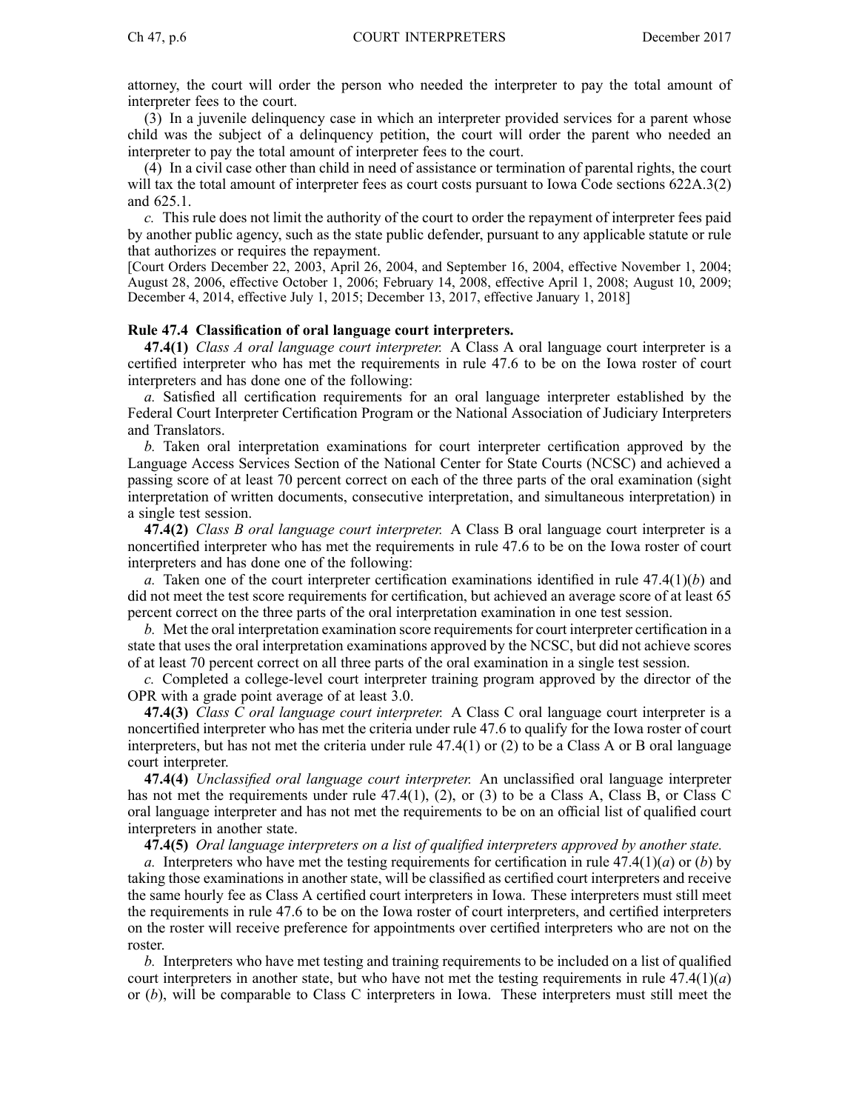attorney, the court will order the person who needed the interpreter to pay the total amount of interpreter fees to the court.

(3) In <sup>a</sup> juvenile delinquency case in which an interpreter provided services for <sup>a</sup> paren<sup>t</sup> whose child was the subject of <sup>a</sup> delinquency petition, the court will order the paren<sup>t</sup> who needed an interpreter to pay the total amount of interpreter fees to the court.

(4) In <sup>a</sup> civil case other than child in need of assistance or termination of parental rights, the court will tax the total amount of interpreter fees as court costs pursuant to Iowa Code sections 622A.3(2) and 625.1.

*c.* This rule does not limit the authority of the court to order the repaymen<sup>t</sup> of interpreter fees paid by another public agency, such as the state public defender, pursuan<sup>t</sup> to any applicable statute or rule that authorizes or requires the repayment.

[Court Orders December 22, 2003, April 26, 2004, and September 16, 2004, effective November 1, 2004; August 28, 2006, effective October 1, 2006; February 14, 2008, effective April 1, 2008; August 10, 2009; December 4, 2014, effective July 1, 2015; December 13, 2017, effective January 1, 2018]

## **Rule 47.4 Classification of oral language court interpreters.**

**47.4(1)** *Class A oral language court interpreter.* A Class A oral language court interpreter is <sup>a</sup> certified interpreter who has met the requirements in rule 47.6 to be on the Iowa roster of court interpreters and has done one of the following:

*a.* Satisfied all certification requirements for an oral language interpreter established by the Federal Court Interpreter Certification Program or the National Association of Judiciary Interpreters and Translators.

*b.* Taken oral interpretation examinations for court interpreter certification approved by the Language Access Services Section of the National Center for State Courts (NCSC) and achieved <sup>a</sup> passing score of at least 70 percen<sup>t</sup> correct on each of the three parts of the oral examination (sight interpretation of written documents, consecutive interpretation, and simultaneous interpretation) in <sup>a</sup> single test session.

**47.4(2)** *Class B oral language court interpreter.* A Class B oral language court interpreter is <sup>a</sup> noncertified interpreter who has met the requirements in rule 47.6 to be on the Iowa roster of court interpreters and has done one of the following:

*a.* Taken one of the court interpreter certification examinations identified in rule 47.4(1)(*b*) and did not meet the test score requirements for certification, but achieved an average score of at least 65 percen<sup>t</sup> correct on the three parts of the oral interpretation examination in one test session.

*b.* Met the oral interpretation examination score requirements for court interpreter certification in a state that uses the oral interpretation examinations approved by the NCSC, but did not achieve scores of at least 70 percen<sup>t</sup> correct on all three parts of the oral examination in <sup>a</sup> single test session.

*c.* Completed <sup>a</sup> college-level court interpreter training program approved by the director of the OPR with <sup>a</sup> grade point average of at least 3.0.

**47.4(3)** *Class C oral language court interpreter.* A Class C oral language court interpreter is <sup>a</sup> noncertified interpreter who has met the criteria under rule 47.6 to qualify for the Iowa roster of court interpreters, but has not met the criteria under rule 47.4(1) or (2) to be <sup>a</sup> Class A or B oral language court interpreter.

**47.4(4)** *Unclassified oral language court interpreter.* An unclassified oral language interpreter has not met the requirements under rule 47.4(1), (2), or (3) to be a Class A, Class B, or Class C oral language interpreter and has not met the requirements to be on an official list of qualified court interpreters in another state.

**47.4(5)** *Oral language interpreters on <sup>a</sup> list of qualified interpreters approved by another state.*

*a.* Interpreters who have met the testing requirements for certification in rule 47.4(1)(*a*) or (*b*) by taking those examinations in another state, will be classified as certified court interpreters and receive the same hourly fee as Class A certified court interpreters in Iowa. These interpreters must still meet the requirements in rule 47.6 to be on the Iowa roster of court interpreters, and certified interpreters on the roster will receive preference for appointments over certified interpreters who are not on the roster.

*b.* Interpreters who have met testing and training requirements to be included on <sup>a</sup> list of qualified court interpreters in another state, but who have not met the testing requirements in rule 47.4(1)(*a*) or (*b*), will be comparable to Class C interpreters in Iowa. These interpreters must still meet the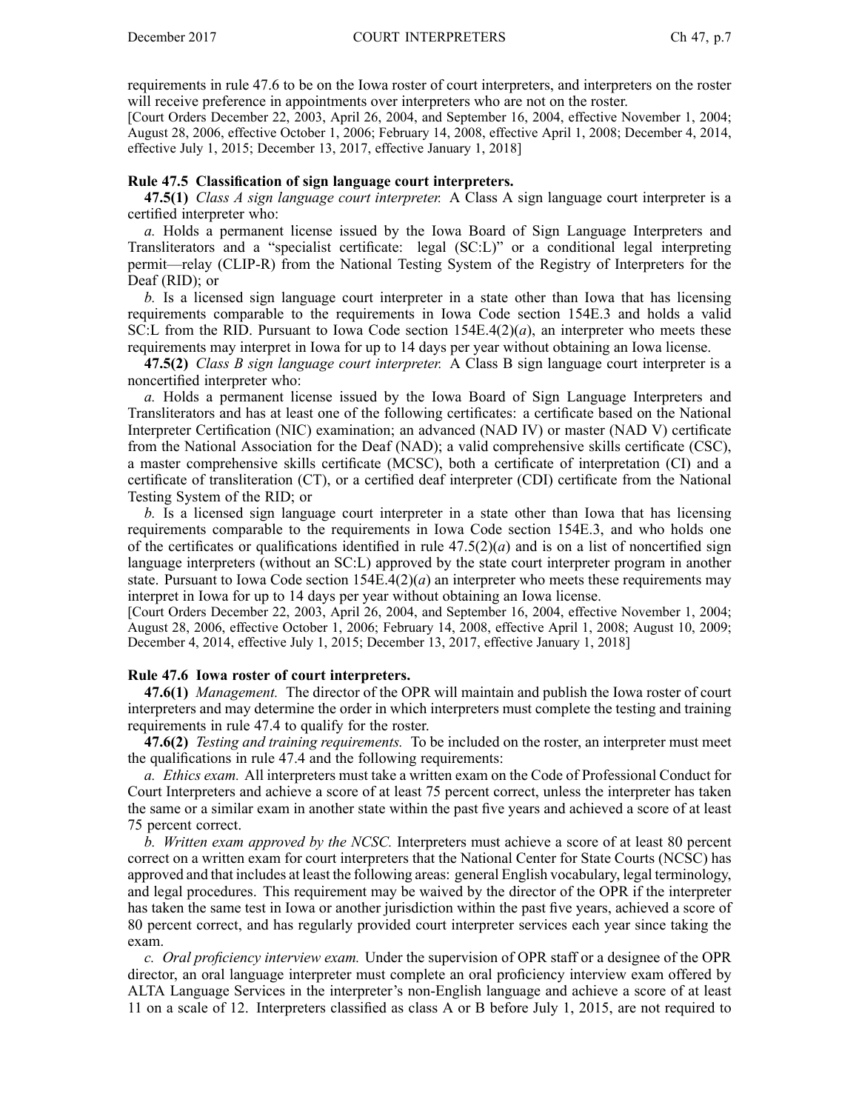requirements in rule 47.6 to be on the Iowa roster of court interpreters, and interpreters on the roster will receive preference in appointments over interpreters who are not on the roster.

[Court Orders December 22, 2003, April 26, 2004, and September 16, 2004, effective November 1, 2004; August 28, 2006, effective October 1, 2006; February 14, 2008, effective April 1, 2008; December 4, 2014, effective July 1, 2015; December 13, 2017, effective January 1, 2018]

### **Rule 47.5 Classification of sign language court interpreters.**

**47.5(1)** *Class A sign language court interpreter.* A Class A sign language court interpreter is <sup>a</sup> certified interpreter who:

*a.* Holds <sup>a</sup> permanen<sup>t</sup> license issued by the Iowa Board of Sign Language Interpreters and Transliterators and <sup>a</sup> "specialist certificate: legal (SC:L)" or <sup>a</sup> conditional legal interpreting permit—relay (CLIP-R) from the National Testing System of the Registry of Interpreters for the Deaf (RID); or

*b.* Is <sup>a</sup> licensed sign language court interpreter in <sup>a</sup> state other than Iowa that has licensing requirements comparable to the requirements in Iowa Code section 154E.3 and holds <sup>a</sup> valid SC:L from the RID. Pursuant to Iowa Code section  $154E.4(2)(a)$ , an interpreter who meets these requirements may interpret in Iowa for up to 14 days per year without obtaining an Iowa license.

**47.5(2)** *Class B sign language court interpreter.* A Class B sign language court interpreter is <sup>a</sup> noncertified interpreter who:

*a.* Holds <sup>a</sup> permanen<sup>t</sup> license issued by the Iowa Board of Sign Language Interpreters and Transliterators and has at least one of the following certificates: <sup>a</sup> certificate based on the National Interpreter Certification (NIC) examination; an advanced (NAD IV) or master (NAD V) certificate from the National Association for the Deaf (NAD); <sup>a</sup> valid comprehensive skills certificate (CSC), <sup>a</sup> master comprehensive skills certificate (MCSC), both <sup>a</sup> certificate of interpretation (CI) and <sup>a</sup> certificate of transliteration (CT), or <sup>a</sup> certified deaf interpreter (CDI) certificate from the National Testing System of the RID; or

*b.* Is <sup>a</sup> licensed sign language court interpreter in <sup>a</sup> state other than Iowa that has licensing requirements comparable to the requirements in Iowa Code section 154E.3, and who holds one of the certificates or qualifications identified in rule  $47.5(2)(a)$  and is on a list of noncertified sign language interpreters (without an SC:L) approved by the state court interpreter program in another state. Pursuant to Iowa Code section  $154E.4(2)(a)$  an interpreter who meets these requirements may interpret in Iowa for up to 14 days per year without obtaining an Iowa license.

[Court Orders December 22, 2003, April 26, 2004, and September 16, 2004, effective November 1, 2004; August 28, 2006, effective October 1, 2006; February 14, 2008, effective April 1, 2008; August 10, 2009; December 4, 2014, effective July 1, 2015; December 13, 2017, effective January 1, 2018]

#### **Rule 47.6 Iowa roster of court interpreters.**

**47.6(1)** *Management.* The director of the OPR will maintain and publish the Iowa roster of court interpreters and may determine the order in which interpreters must complete the testing and training requirements in rule 47.4 to qualify for the roster.

**47.6(2)** *Testing and training requirements.* To be included on the roster, an interpreter must meet the qualifications in rule 47.4 and the following requirements:

*a. Ethics exam.* All interpreters must take <sup>a</sup> written exam on the Code of Professional Conduct for Court Interpreters and achieve <sup>a</sup> score of at least 75 percen<sup>t</sup> correct, unless the interpreter has taken the same or <sup>a</sup> similar exam in another state within the pas<sup>t</sup> five years and achieved <sup>a</sup> score of at least 75 percen<sup>t</sup> correct.

*b. Written exam approved by the NCSC.* Interpreters must achieve <sup>a</sup> score of at least 80 percen<sup>t</sup> correct on <sup>a</sup> written exam for court interpreters that the National Center for State Courts (NCSC) has approved and that includes at least the following areas: general English vocabulary, legal terminology, and legal procedures. This requirement may be waived by the director of the OPR if the interpreter has taken the same test in Iowa or another jurisdiction within the pas<sup>t</sup> five years, achieved <sup>a</sup> score of 80 percen<sup>t</sup> correct, and has regularly provided court interpreter services each year since taking the exam.

*c. Oral proficiency interview exam.* Under the supervision of OPR staff or <sup>a</sup> designee of the OPR director, an oral language interpreter must complete an oral proficiency interview exam offered by ALTA Language Services in the interpreter's non-English language and achieve <sup>a</sup> score of at least 11 on <sup>a</sup> scale of 12. Interpreters classified as class A or B before July 1, 2015, are not required to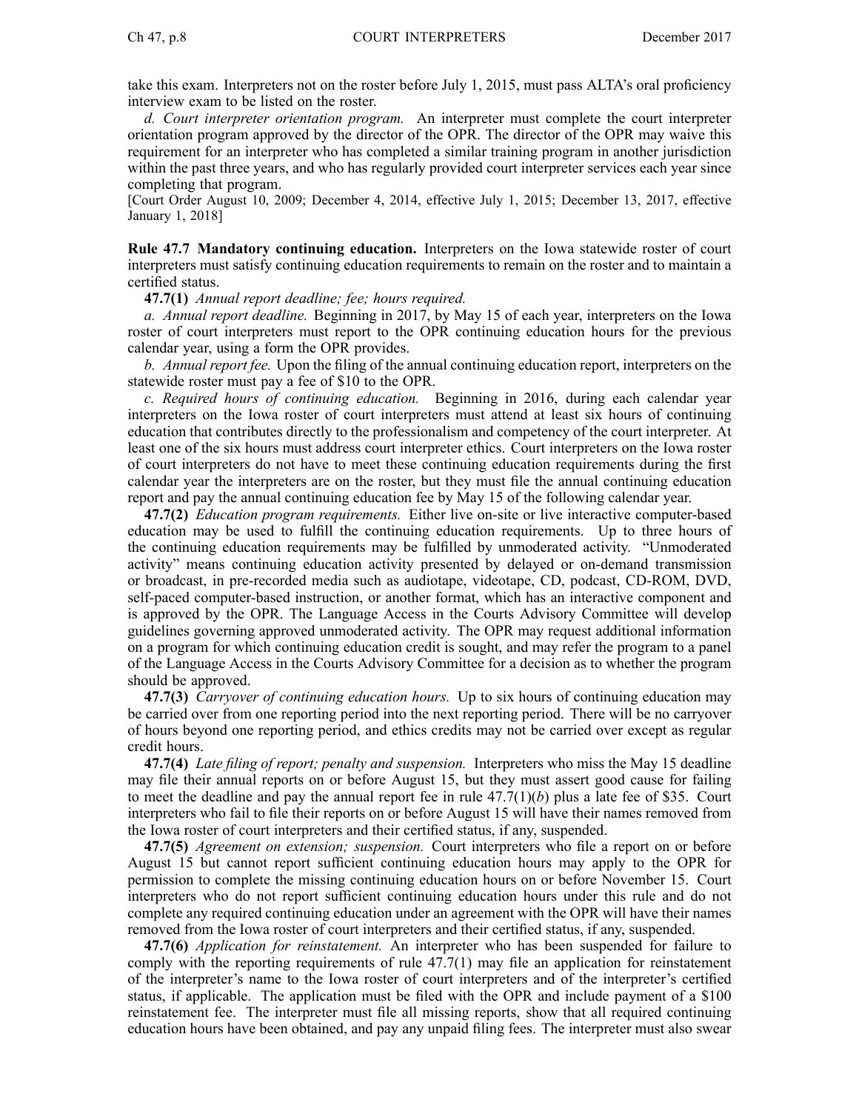take this exam. Interpreters not on the roster before July 1, 2015, must pass ALTA's oral proficiency interview exam to be listed on the roster.

*d. Court interpreter orientation program.* An interpreter must complete the court interpreter orientation program approved by the director of the OPR. The director of the OPR may waive this requirement for an interpreter who has completed <sup>a</sup> similar training program in another jurisdiction within the pas<sup>t</sup> three years, and who has regularly provided court interpreter services each year since completing that program.

[Court Order August 10, 2009; December 4, 2014, effective July 1, 2015; December 13, 2017, effective January 1, 2018]

**Rule 47.7 Mandatory continuing education.** Interpreters on the Iowa statewide roster of court interpreters must satisfy continuing education requirements to remain on the roster and to maintain <sup>a</sup> certified status.

**47.7(1)** *Annual repor<sup>t</sup> deadline; fee; hours required.*

*a. Annual repor<sup>t</sup> deadline.* Beginning in 2017, by May 15 of each year, interpreters on the Iowa roster of court interpreters must repor<sup>t</sup> to the OPR continuing education hours for the previous calendar year, using <sup>a</sup> form the OPR provides.

*b. Annual repor<sup>t</sup> fee.* Upon the filing of the annual continuing education report, interpreters on the statewide roster must pay <sup>a</sup> fee of \$10 to the OPR.

*c. Required hours of continuing education.* Beginning in 2016, during each calendar year interpreters on the Iowa roster of court interpreters must attend at least six hours of continuing education that contributes directly to the professionalism and competency of the court interpreter. At least one of the six hours must address court interpreter ethics. Court interpreters on the Iowa roster of court interpreters do not have to meet these continuing education requirements during the first calendar year the interpreters are on the roster, but they must file the annual continuing education repor<sup>t</sup> and pay the annual continuing education fee by May 15 of the following calendar year.

**47.7(2)** *Education program requirements.* Either live on-site or live interactive computer-based education may be used to fulfill the continuing education requirements. Up to three hours of the continuing education requirements may be fulfilled by unmoderated activity. "Unmoderated activity" means continuing education activity presented by delayed or on-demand transmission or broadcast, in pre-recorded media such as audiotape, videotape, CD, podcast, CD-ROM, DVD, self-paced computer-based instruction, or another format, which has an interactive componen<sup>t</sup> and is approved by the OPR. The Language Access in the Courts Advisory Committee will develop guidelines governing approved unmoderated activity. The OPR may reques<sup>t</sup> additional information on <sup>a</sup> program for which continuing education credit is sought, and may refer the program to <sup>a</sup> panel of the Language Access in the Courts Advisory Committee for <sup>a</sup> decision as to whether the program should be approved.

**47.7(3)** *Carryover of continuing education hours.* Up to six hours of continuing education may be carried over from one reporting period into the next reporting period. There will be no carryover of hours beyond one reporting period, and ethics credits may not be carried over excep<sup>t</sup> as regular credit hours.

**47.7(4)** *Late filing of report; penalty and suspension.* Interpreters who miss the May 15 deadline may file their annual reports on or before August 15, but they must assert good cause for failing to meet the deadline and pay the annual report fee in rule  $47.7(1)(b)$  plus a late fee of \$35. Court interpreters who fail to file their reports on or before August 15 will have their names removed from the Iowa roster of court interpreters and their certified status, if any, suspended.

**47.7(5)** *Agreement on extension; suspension.* Court interpreters who file <sup>a</sup> repor<sup>t</sup> on or before August 15 but cannot repor<sup>t</sup> sufficient continuing education hours may apply to the OPR for permission to complete the missing continuing education hours on or before November 15. Court interpreters who do not repor<sup>t</sup> sufficient continuing education hours under this rule and do not complete any required continuing education under an agreemen<sup>t</sup> with the OPR will have their names removed from the Iowa roster of court interpreters and their certified status, if any, suspended.

**47.7(6)** *Application for reinstatement.* An interpreter who has been suspended for failure to comply with the reporting requirements of rule 47.7(1) may file an application for reinstatement of the interpreter's name to the Iowa roster of court interpreters and of the interpreter's certified status, if applicable. The application must be filed with the OPR and include paymen<sup>t</sup> of <sup>a</sup> \$100 reinstatement fee. The interpreter must file all missing reports, show that all required continuing education hours have been obtained, and pay any unpaid filing fees. The interpreter must also swear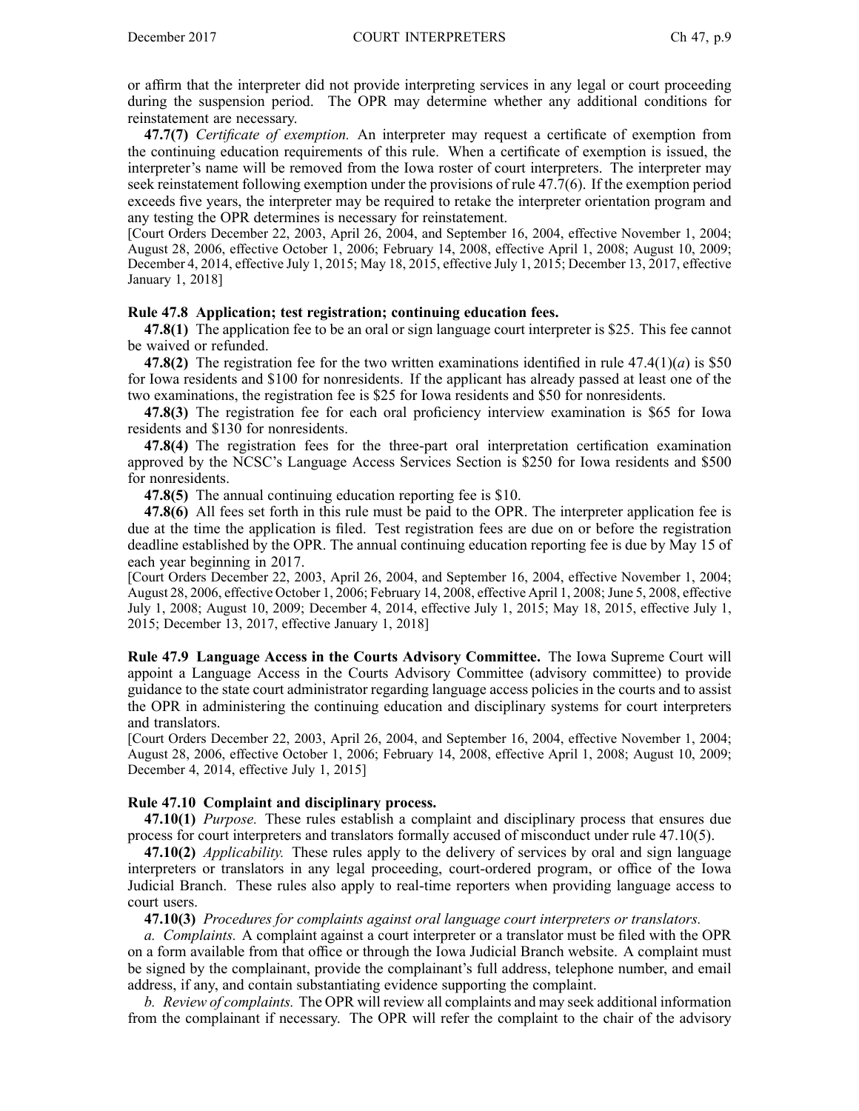or affirm that the interpreter did not provide interpreting services in any legal or court proceeding during the suspension period. The OPR may determine whether any additional conditions for reinstatement are necessary.

**47.7(7)** *Certificate of exemption.* An interpreter may reques<sup>t</sup> <sup>a</sup> certificate of exemption from the continuing education requirements of this rule. When <sup>a</sup> certificate of exemption is issued, the interpreter's name will be removed from the Iowa roster of court interpreters. The interpreter may seek reinstatement following exemption under the provisions of rule 47.7(6). If the exemption period exceeds five years, the interpreter may be required to retake the interpreter orientation program and any testing the OPR determines is necessary for reinstatement.

[Court Orders December 22, 2003, April 26, 2004, and September 16, 2004, effective November 1, 2004; August 28, 2006, effective October 1, 2006; February 14, 2008, effective April 1, 2008; August 10, 2009; December 4, 2014, effective July 1, 2015; May 18, 2015, effective July 1, 2015; December 13, 2017, effective January 1, 2018]

#### **Rule 47.8 Application; test registration; continuing education fees.**

**47.8(1)** The application fee to be an oral or sign language court interpreter is \$25. This fee cannot be waived or refunded.

**47.8(2)** The registration fee for the two written examinations identified in rule  $47.4(1)(a)$  is \$50 for Iowa residents and \$100 for nonresidents. If the applicant has already passed at least one of the two examinations, the registration fee is \$25 for Iowa residents and \$50 for nonresidents.

**47.8(3)** The registration fee for each oral proficiency interview examination is \$65 for Iowa residents and \$130 for nonresidents.

**47.8(4)** The registration fees for the three-part oral interpretation certification examination approved by the NCSC's Language Access Services Section is \$250 for Iowa residents and \$500 for nonresidents.

**47.8(5)** The annual continuing education reporting fee is \$10.

**47.8(6)** All fees set forth in this rule must be paid to the OPR. The interpreter application fee is due at the time the application is filed. Test registration fees are due on or before the registration deadline established by the OPR. The annual continuing education reporting fee is due by May 15 of each year beginning in 2017.

[Court Orders December 22, 2003, April 26, 2004, and September 16, 2004, effective November 1, 2004; August 28, 2006, effective October 1, 2006; February 14, 2008, effective April 1, 2008; June 5, 2008, effective July 1, 2008; August 10, 2009; December 4, 2014, effective July 1, 2015; May 18, 2015, effective July 1, 2015; December 13, 2017, effective January 1, 2018]

**Rule 47.9 Language Access in the Courts Advisory Committee.** The Iowa Supreme Court will appoint <sup>a</sup> Language Access in the Courts Advisory Committee (advisory committee) to provide guidance to the state court administrator regarding language access policies in the courts and to assist the OPR in administering the continuing education and disciplinary systems for court interpreters and translators.

[Court Orders December 22, 2003, April 26, 2004, and September 16, 2004, effective November 1, 2004; August 28, 2006, effective October 1, 2006; February 14, 2008, effective April 1, 2008; August 10, 2009; December 4, 2014, effective July 1, 2015]

# **Rule 47.10 Complaint and disciplinary process.**

**47.10(1)** *Purpose.* These rules establish <sup>a</sup> complaint and disciplinary process that ensures due process for court interpreters and translators formally accused of misconduct under rule 47.10(5).

**47.10(2)** *Applicability.* These rules apply to the delivery of services by oral and sign language interpreters or translators in any legal proceeding, court-ordered program, or office of the Iowa Judicial Branch. These rules also apply to real-time reporters when providing language access to court users.

**47.10(3)** *Procedures for complaints against oral language court interpreters or translators.*

*a. Complaints.* A complaint against <sup>a</sup> court interpreter or <sup>a</sup> translator must be filed with the OPR on <sup>a</sup> form available from that office or through the Iowa Judicial Branch website. A complaint must be signed by the complainant, provide the complainant's full address, telephone number, and email address, if any, and contain substantiating evidence supporting the complaint.

*b. Review of complaints.* The OPR will review all complaints and may seek additional information from the complainant if necessary. The OPR will refer the complaint to the chair of the advisory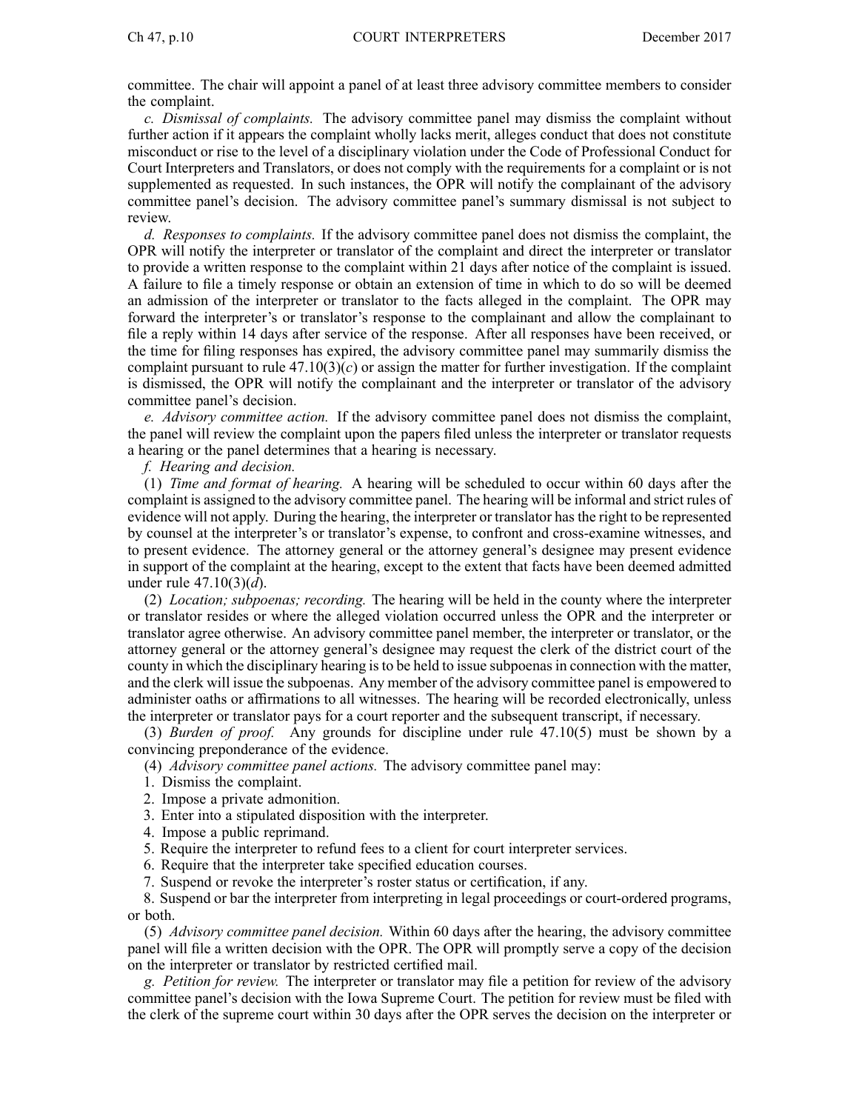committee. The chair will appoint <sup>a</sup> panel of at least three advisory committee members to consider the complaint.

*c. Dismissal of complaints.* The advisory committee panel may dismiss the complaint without further action if it appears the complaint wholly lacks merit, alleges conduct that does not constitute misconduct or rise to the level of <sup>a</sup> disciplinary violation under the Code of Professional Conduct for Court Interpreters and Translators, or does not comply with the requirements for <sup>a</sup> complaint or is not supplemented as requested. In such instances, the OPR will notify the complainant of the advisory committee panel's decision. The advisory committee panel's summary dismissal is not subject to review.

*d. Responses to complaints.* If the advisory committee panel does not dismiss the complaint, the OPR will notify the interpreter or translator of the complaint and direct the interpreter or translator to provide <sup>a</sup> written response to the complaint within 21 days after notice of the complaint is issued. A failure to file <sup>a</sup> timely response or obtain an extension of time in which to do so will be deemed an admission of the interpreter or translator to the facts alleged in the complaint. The OPR may forward the interpreter's or translator's response to the complainant and allow the complainant to file <sup>a</sup> reply within 14 days after service of the response. After all responses have been received, or the time for filing responses has expired, the advisory committee panel may summarily dismiss the complaint pursuant to rule  $47.10(3)(c)$  or assign the matter for further investigation. If the complaint is dismissed, the OPR will notify the complainant and the interpreter or translator of the advisory committee panel's decision.

*e. Advisory committee action.* If the advisory committee panel does not dismiss the complaint, the panel will review the complaint upon the papers filed unless the interpreter or translator requests <sup>a</sup> hearing or the panel determines that <sup>a</sup> hearing is necessary.

*f. Hearing and decision.*

(1) *Time and format of hearing.* A hearing will be scheduled to occur within 60 days after the complaint is assigned to the advisory committee panel. The hearing will be informal and strict rules of evidence will not apply. During the hearing, the interpreter or translator hasthe right to be represented by counsel at the interpreter's or translator's expense, to confront and cross-examine witnesses, and to presen<sup>t</sup> evidence. The attorney general or the attorney general's designee may presen<sup>t</sup> evidence in suppor<sup>t</sup> of the complaint at the hearing, excep<sup>t</sup> to the extent that facts have been deemed admitted under rule 47.10(3)(*d*).

(2) *Location; subpoenas; recording.* The hearing will be held in the county where the interpreter or translator resides or where the alleged violation occurred unless the OPR and the interpreter or translator agree otherwise. An advisory committee panel member, the interpreter or translator, or the attorney general or the attorney general's designee may reques<sup>t</sup> the clerk of the district court of the county in which the disciplinary hearing isto be held to issue subpoenasin connection with the matter, and the clerk will issue the subpoenas. Any member of the advisory committee panel is empowered to administer oaths or affirmations to all witnesses. The hearing will be recorded electronically, unless the interpreter or translator pays for <sup>a</sup> court reporter and the subsequent transcript, if necessary.

(3) *Burden of proof.* Any grounds for discipline under rule 47.10(5) must be shown by <sup>a</sup> convincing preponderance of the evidence.

- (4) *Advisory committee panel actions.* The advisory committee panel may:
- 1. Dismiss the complaint.
- 2. Impose <sup>a</sup> private admonition.
- 3. Enter into <sup>a</sup> stipulated disposition with the interpreter.
- 4. Impose <sup>a</sup> public reprimand.
- 5. Require the interpreter to refund fees to <sup>a</sup> client for court interpreter services.
- 6. Require that the interpreter take specified education courses.
- 7. Suspend or revoke the interpreter's roster status or certification, if any.

8. Suspend or bar the interpreter from interpreting in legal proceedings or court-ordered programs, or both.

(5) *Advisory committee panel decision.* Within 60 days after the hearing, the advisory committee panel will file <sup>a</sup> written decision with the OPR. The OPR will promptly serve <sup>a</sup> copy of the decision on the interpreter or translator by restricted certified mail.

*g. Petition for review.* The interpreter or translator may file <sup>a</sup> petition for review of the advisory committee panel's decision with the Iowa Supreme Court. The petition for review must be filed with the clerk of the supreme court within 30 days after the OPR serves the decision on the interpreter or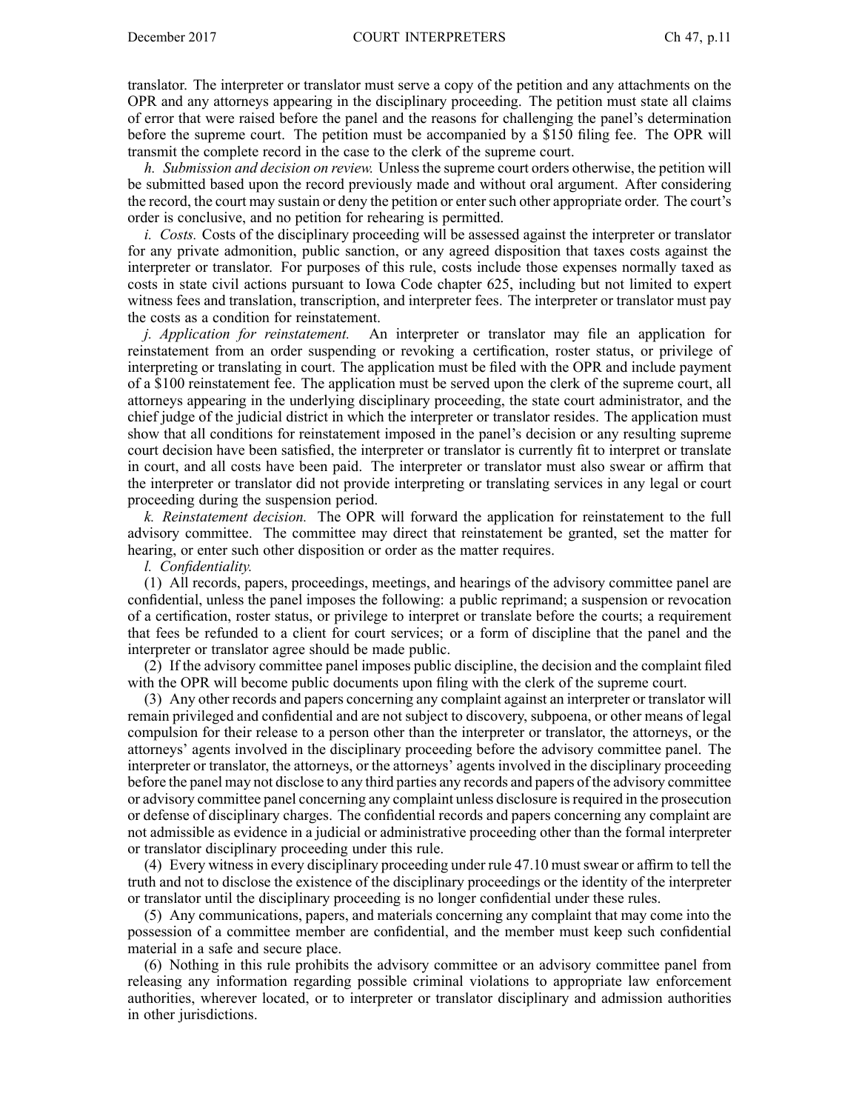translator. The interpreter or translator must serve <sup>a</sup> copy of the petition and any attachments on the OPR and any attorneys appearing in the disciplinary proceeding. The petition must state all claims of error that were raised before the panel and the reasons for challenging the panel's determination before the supreme court. The petition must be accompanied by <sup>a</sup> \$150 filing fee. The OPR will transmit the complete record in the case to the clerk of the supreme court.

*h. Submission and decision on review.* Unlessthe supreme court orders otherwise, the petition will be submitted based upon the record previously made and without oral argument. After considering the record, the court may sustain or deny the petition or entersuch other appropriate order. The court's order is conclusive, and no petition for rehearing is permitted.

*i. Costs.* Costs of the disciplinary proceeding will be assessed against the interpreter or translator for any private admonition, public sanction, or any agreed disposition that taxes costs against the interpreter or translator. For purposes of this rule, costs include those expenses normally taxed as costs in state civil actions pursuan<sup>t</sup> to Iowa Code chapter 625, including but not limited to exper<sup>t</sup> witness fees and translation, transcription, and interpreter fees. The interpreter or translator must pay the costs as <sup>a</sup> condition for reinstatement.

*j. Application for reinstatement.* An interpreter or translator may file an application for reinstatement from an order suspending or revoking <sup>a</sup> certification, roster status, or privilege of interpreting or translating in court. The application must be filed with the OPR and include paymen<sup>t</sup> of <sup>a</sup> \$100 reinstatement fee. The application must be served upon the clerk of the supreme court, all attorneys appearing in the underlying disciplinary proceeding, the state court administrator, and the chief judge of the judicial district in which the interpreter or translator resides. The application must show that all conditions for reinstatement imposed in the panel's decision or any resulting supreme court decision have been satisfied, the interpreter or translator is currently fit to interpret or translate in court, and all costs have been paid. The interpreter or translator must also swear or affirm that the interpreter or translator did not provide interpreting or translating services in any legal or court proceeding during the suspension period.

*k. Reinstatement decision.* The OPR will forward the application for reinstatement to the full advisory committee. The committee may direct that reinstatement be granted, set the matter for hearing, or enter such other disposition or order as the matter requires.

*l. Confidentiality.*

(1) All records, papers, proceedings, meetings, and hearings of the advisory committee panel are confidential, unless the panel imposes the following: <sup>a</sup> public reprimand; <sup>a</sup> suspension or revocation of <sup>a</sup> certification, roster status, or privilege to interpret or translate before the courts; <sup>a</sup> requirement that fees be refunded to <sup>a</sup> client for court services; or <sup>a</sup> form of discipline that the panel and the interpreter or translator agree should be made public.

(2) If the advisory committee panel imposes public discipline, the decision and the complaint filed with the OPR will become public documents upon filing with the clerk of the supreme court.

(3) Any other records and papers concerning any complaint against an interpreter or translator will remain privileged and confidential and are not subject to discovery, subpoena, or other means of legal compulsion for their release to <sup>a</sup> person other than the interpreter or translator, the attorneys, or the attorneys' agents involved in the disciplinary proceeding before the advisory committee panel. The interpreter or translator, the attorneys, or the attorneys' agents involved in the disciplinary proceeding before the panel may not disclose to any third parties any records and papers of the advisory committee or advisory committee panel concerning any complaint unless disclosure isrequired in the prosecution or defense of disciplinary charges. The confidential records and papers concerning any complaint are not admissible as evidence in <sup>a</sup> judicial or administrative proceeding other than the formal interpreter or translator disciplinary proceeding under this rule.

(4) Every witnessin every disciplinary proceeding under rule 47.10 mustswear or affirm to tell the truth and not to disclose the existence of the disciplinary proceedings or the identity of the interpreter or translator until the disciplinary proceeding is no longer confidential under these rules.

(5) Any communications, papers, and materials concerning any complaint that may come into the possession of <sup>a</sup> committee member are confidential, and the member must keep such confidential material in <sup>a</sup> safe and secure place.

(6) Nothing in this rule prohibits the advisory committee or an advisory committee panel from releasing any information regarding possible criminal violations to appropriate law enforcement authorities, wherever located, or to interpreter or translator disciplinary and admission authorities in other jurisdictions.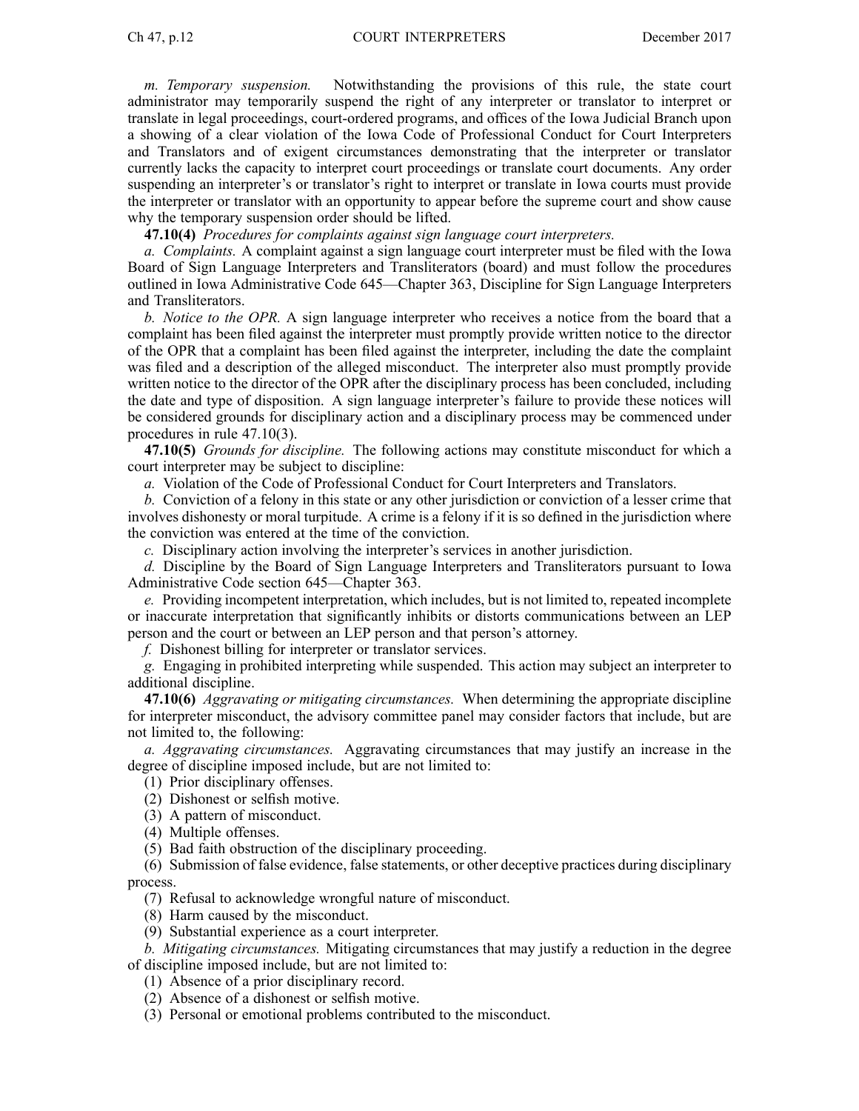*m. Temporary suspension.* Notwithstanding the provisions of this rule, the state court administrator may temporarily suspend the right of any interpreter or translator to interpret or translate in legal proceedings, court-ordered programs, and offices of the Iowa Judicial Branch upon <sup>a</sup> showing of <sup>a</sup> clear violation of the Iowa Code of Professional Conduct for Court Interpreters and Translators and of exigent circumstances demonstrating that the interpreter or translator currently lacks the capacity to interpret court proceedings or translate court documents. Any order suspending an interpreter's or translator's right to interpret or translate in Iowa courts must provide the interpreter or translator with an opportunity to appear before the supreme court and show cause why the temporary suspension order should be lifted.

**47.10(4)** *Procedures for complaints against sign language court interpreters.*

*a. Complaints.* A complaint against <sup>a</sup> sign language court interpreter must be filed with the Iowa Board of Sign Language Interpreters and Transliterators (board) and must follow the procedures outlined in Iowa Administrative Code 645—Chapter 363, Discipline for Sign Language Interpreters and Transliterators.

*b. Notice to the OPR.* A sign language interpreter who receives <sup>a</sup> notice from the board that <sup>a</sup> complaint has been filed against the interpreter must promptly provide written notice to the director of the OPR that <sup>a</sup> complaint has been filed against the interpreter, including the date the complaint was filed and <sup>a</sup> description of the alleged misconduct. The interpreter also must promptly provide written notice to the director of the OPR after the disciplinary process has been concluded, including the date and type of disposition. A sign language interpreter's failure to provide these notices will be considered grounds for disciplinary action and <sup>a</sup> disciplinary process may be commenced under procedures in rule 47.10(3).

**47.10(5)** *Grounds for discipline.* The following actions may constitute misconduct for which <sup>a</sup> court interpreter may be subject to discipline:

*a.* Violation of the Code of Professional Conduct for Court Interpreters and Translators.

*b.* Conviction of <sup>a</sup> felony in this state or any other jurisdiction or conviction of <sup>a</sup> lesser crime that involves dishonesty or moral turpitude. A crime is <sup>a</sup> felony if it is so defined in the jurisdiction where the conviction was entered at the time of the conviction.

*c.* Disciplinary action involving the interpreter's services in another jurisdiction.

*d.* Discipline by the Board of Sign Language Interpreters and Transliterators pursuan<sup>t</sup> to Iowa Administrative Code section 645—Chapter 363.

*e.* Providing incompetent interpretation, which includes, but is not limited to, repeated incomplete or inaccurate interpretation that significantly inhibits or distorts communications between an LEP person and the court or between an LEP person and that person's attorney.

*f.* Dishonest billing for interpreter or translator services.

*g.* Engaging in prohibited interpreting while suspended. This action may subject an interpreter to additional discipline.

**47.10(6)** *Aggravating or mitigating circumstances.* When determining the appropriate discipline for interpreter misconduct, the advisory committee panel may consider factors that include, but are not limited to, the following:

*a. Aggravating circumstances.* Aggravating circumstances that may justify an increase in the degree of discipline imposed include, but are not limited to:

(1) Prior disciplinary offenses.

(2) Dishonest or selfish motive.

(3) A pattern of misconduct.

(4) Multiple offenses.

(5) Bad faith obstruction of the disciplinary proceeding.

(6) Submission of false evidence, false statements, or other deceptive practices during disciplinary process.

(7) Refusal to acknowledge wrongful nature of misconduct.

(8) Harm caused by the misconduct.

(9) Substantial experience as <sup>a</sup> court interpreter.

*b. Mitigating circumstances.* Mitigating circumstances that may justify <sup>a</sup> reduction in the degree of discipline imposed include, but are not limited to:

(1) Absence of <sup>a</sup> prior disciplinary record.

(2) Absence of <sup>a</sup> dishonest or selfish motive.

(3) Personal or emotional problems contributed to the misconduct.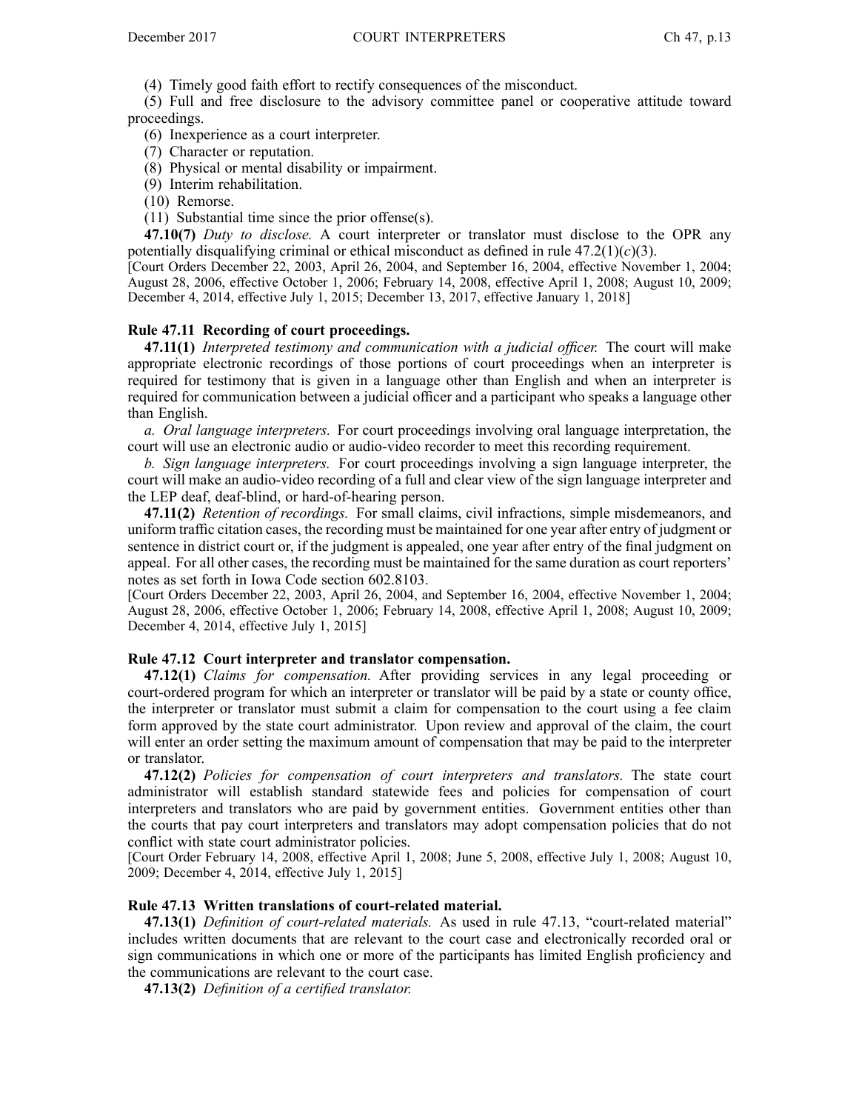(4) Timely good faith effort to rectify consequences of the misconduct.

(5) Full and free disclosure to the advisory committee panel or cooperative attitude toward proceedings.

(6) Inexperience as <sup>a</sup> court interpreter.

(7) Character or reputation.

- (8) Physical or mental disability or impairment.
- (9) Interim rehabilitation.
- (10) Remorse.

(11) Substantial time since the prior offense(s).

**47.10(7)** *Duty to disclose.* A court interpreter or translator must disclose to the OPR any potentially disqualifying criminal or ethical misconduct as defined in rule 47.2(1)(*c*)(3).

[Court Orders December 22, 2003, April 26, 2004, and September 16, 2004, effective November 1, 2004; August 28, 2006, effective October 1, 2006; February 14, 2008, effective April 1, 2008; August 10, 2009; December 4, 2014, effective July 1, 2015; December 13, 2017, effective January 1, 2018]

## **Rule 47.11 Recording of court proceedings.**

**47.11(1)** *Interpreted testimony and communication with <sup>a</sup> judicial officer.* The court will make appropriate electronic recordings of those portions of court proceedings when an interpreter is required for testimony that is given in <sup>a</sup> language other than English and when an interpreter is required for communication between <sup>a</sup> judicial officer and <sup>a</sup> participant who speaks <sup>a</sup> language other than English.

*a. Oral language interpreters.* For court proceedings involving oral language interpretation, the court will use an electronic audio or audio-video recorder to meet this recording requirement.

*b. Sign language interpreters.* For court proceedings involving <sup>a</sup> sign language interpreter, the court will make an audio-video recording of <sup>a</sup> full and clear view of the sign language interpreter and the LEP deaf, deaf-blind, or hard-of-hearing person.

**47.11(2)** *Retention of recordings.* For small claims, civil infractions, simple misdemeanors, and uniform traffic citation cases, the recording must be maintained for one year after entry of judgment or sentence in district court or, if the judgment is appealed, one year after entry of the final judgment on appeal. For all other cases, the recording must be maintained for the same duration as court reporters' notes as set forth in Iowa Code section 602.8103.

[Court Orders December 22, 2003, April 26, 2004, and September 16, 2004, effective November 1, 2004; August 28, 2006, effective October 1, 2006; February 14, 2008, effective April 1, 2008; August 10, 2009; December 4, 2014, effective July 1, 2015]

### **Rule 47.12 Court interpreter and translator compensation.**

**47.12(1)** *Claims for compensation.* After providing services in any legal proceeding or court-ordered program for which an interpreter or translator will be paid by <sup>a</sup> state or county office, the interpreter or translator must submit <sup>a</sup> claim for compensation to the court using <sup>a</sup> fee claim form approved by the state court administrator. Upon review and approval of the claim, the court will enter an order setting the maximum amount of compensation that may be paid to the interpreter or translator.

**47.12(2)** *Policies for compensation of court interpreters and translators.* The state court administrator will establish standard statewide fees and policies for compensation of court interpreters and translators who are paid by governmen<sup>t</sup> entities. Government entities other than the courts that pay court interpreters and translators may adopt compensation policies that do not conflict with state court administrator policies.

[Court Order February 14, 2008, effective April 1, 2008; June 5, 2008, effective July 1, 2008; August 10, 2009; December 4, 2014, effective July 1, 2015]

# **Rule 47.13 Written translations of court-related material.**

**47.13(1)** *Definition of court-related materials.* As used in rule 47.13, "court-related material" includes written documents that are relevant to the court case and electronically recorded oral or sign communications in which one or more of the participants has limited English proficiency and the communications are relevant to the court case.

**47.13(2)** *Definition of <sup>a</sup> certified translator.*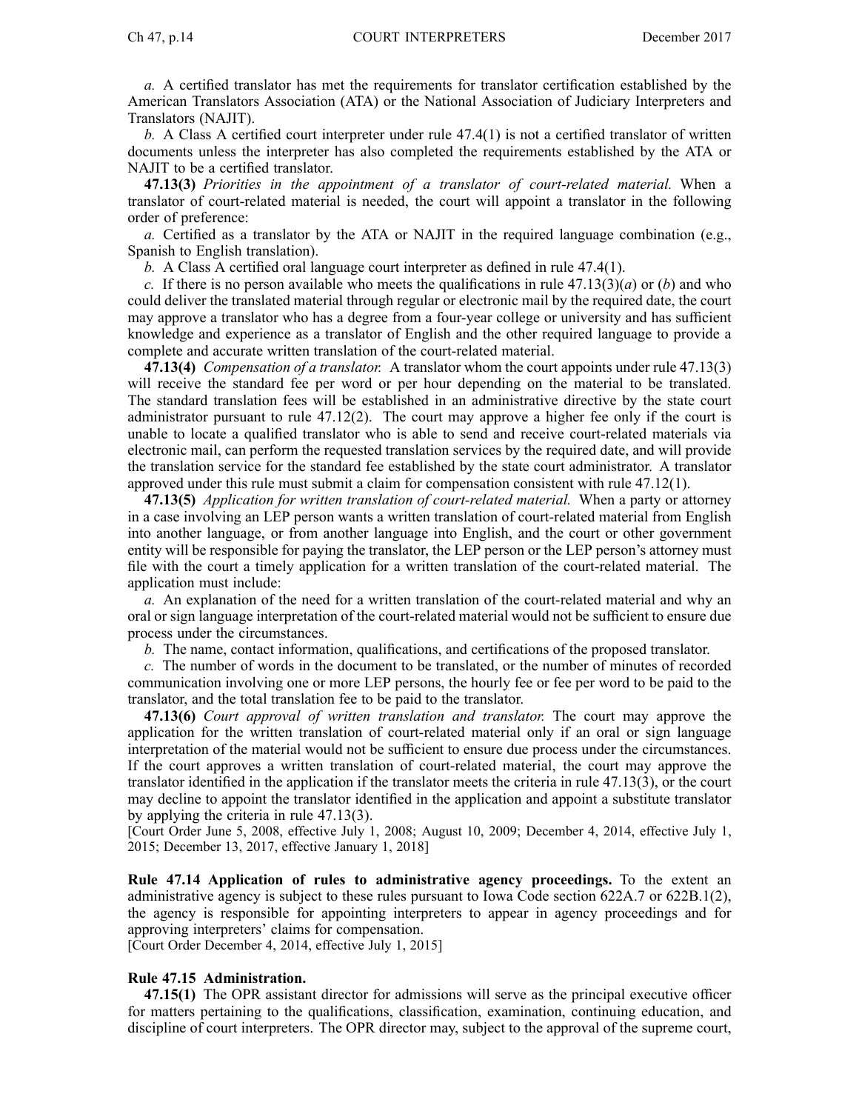*a.* A certified translator has met the requirements for translator certification established by the American Translators Association (ATA) or the National Association of Judiciary Interpreters and Translators (NAJIT).

*b.* A Class A certified court interpreter under rule 47.4(1) is not <sup>a</sup> certified translator of written documents unless the interpreter has also completed the requirements established by the ATA or NAJIT to be <sup>a</sup> certified translator.

**47.13(3)** *Priorities in the appointment of <sup>a</sup> translator of court-related material.* When <sup>a</sup> translator of court-related material is needed, the court will appoint <sup>a</sup> translator in the following order of preference:

*a.* Certified as <sup>a</sup> translator by the ATA or NAJIT in the required language combination (e.g., Spanish to English translation).

*b.* A Class A certified oral language court interpreter as defined in rule 47.4(1).

*c.* If there is no person available who meets the qualifications in rule  $47.13(3)(a)$  or (*b*) and who could deliver the translated material through regular or electronic mail by the required date, the court may approve <sup>a</sup> translator who has <sup>a</sup> degree from <sup>a</sup> four-year college or university and has sufficient knowledge and experience as <sup>a</sup> translator of English and the other required language to provide <sup>a</sup> complete and accurate written translation of the court-related material.

**47.13(4)** *Compensation of <sup>a</sup> translator.* A translator whom the court appoints under rule 47.13(3) will receive the standard fee per word or per hour depending on the material to be translated. The standard translation fees will be established in an administrative directive by the state court administrator pursuan<sup>t</sup> to rule 47.12(2). The court may approve <sup>a</sup> higher fee only if the court is unable to locate <sup>a</sup> qualified translator who is able to send and receive court-related materials via electronic mail, can perform the requested translation services by the required date, and will provide the translation service for the standard fee established by the state court administrator. A translator approved under this rule must submit <sup>a</sup> claim for compensation consistent with rule 47.12(1).

**47.13(5)** *Application for written translation of court-related material.* When <sup>a</sup> party or attorney in <sup>a</sup> case involving an LEP person wants <sup>a</sup> written translation of court-related material from English into another language, or from another language into English, and the court or other governmen<sup>t</sup> entity will be responsible for paying the translator, the LEP person or the LEP person's attorney must file with the court <sup>a</sup> timely application for <sup>a</sup> written translation of the court-related material. The application must include:

*a.* An explanation of the need for <sup>a</sup> written translation of the court-related material and why an oral or sign language interpretation of the court-related material would not be sufficient to ensure due process under the circumstances.

*b.* The name, contact information, qualifications, and certifications of the proposed translator.

*c.* The number of words in the document to be translated, or the number of minutes of recorded communication involving one or more LEP persons, the hourly fee or fee per word to be paid to the translator, and the total translation fee to be paid to the translator.

**47.13(6)** *Court approval of written translation and translator.* The court may approve the application for the written translation of court-related material only if an oral or sign language interpretation of the material would not be sufficient to ensure due process under the circumstances. If the court approves <sup>a</sup> written translation of court-related material, the court may approve the translator identified in the application if the translator meets the criteria in rule 47.13(3), or the court may decline to appoint the translator identified in the application and appoint <sup>a</sup> substitute translator by applying the criteria in rule 47.13(3).

[Court Order June 5, 2008, effective July 1, 2008; August 10, 2009; December 4, 2014, effective July 1, 2015; December 13, 2017, effective January 1, 2018]

**Rule 47.14 Application of rules to administrative agency proceedings.** To the extent an administrative agency is subject to these rules pursuan<sup>t</sup> to Iowa Code section 622A.7 or 622B.1(2), the agency is responsible for appointing interpreters to appear in agency proceedings and for approving interpreters' claims for compensation.

[Court Order December 4, 2014, effective July 1, 2015]

### **Rule 47.15 Administration.**

**47.15(1)** The OPR assistant director for admissions will serve as the principal executive officer for matters pertaining to the qualifications, classification, examination, continuing education, and discipline of court interpreters. The OPR director may, subject to the approval of the supreme court,